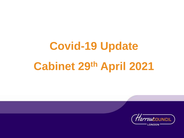# **Covid-19 Update Cabinet 29th April 2021**

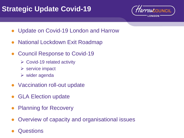#### **Strategic Update Covid-19**



- Update on Covid-19 London and Harrow
- **National Lockdown Exit Roadmap**
- **Council Response to Covid-19** 
	- $\triangleright$  Covid-19 related activity
	- $\triangleright$  service impact
	- $\triangleright$  wider agenda
- Vaccination roll-out update
- **GLA Election update**
- **Planning for Recovery**
- Overview of capacity and organisational issues
- **Questions**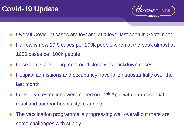#### **Covid-19 Update**



- Overall Covid-19 cases are low and at a level last seen in September
- Harrow is now 29.9 cases per 100k people when at the peak almost at 1000 cases per 100k people
- Case levels are being monitored closely as Lockdown eases
- Hospital admissions and occupancy have fallen substantially over the last month
- Lockdown restrictions were eased on 12<sup>th</sup> April with non-essential retail and outdoor hospitality resuming
- The vaccination programme is progressing well overall but there are some challenges with supply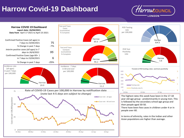#### **Harrow Covid-19 Dashboard**



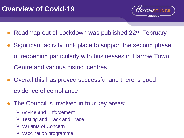

- Roadmap out of Lockdown was published 22<sup>nd</sup> February
- Significant activity took place to support the second phase of reopening particularly with businesses in Harrow Town Centre and various district centres
- Overall this has proved successful and there is good evidence of compliance
- The Council is involved in four key areas:
	- ➢ Advice and Enforcement
	- ➢ Testing and Track and Trace
	- ➢ Variants of Concern
	- ➢ Vaccination programme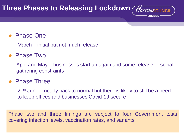## **Three Phases to Releasing Lockdown** (Harrow boundle

#### **Phase One**

March – initial but not much release

#### **Phase Two**

April and May – businesses start up again and some release of social gathering constraints

#### **Phase Three**

21st June – nearly back to normal but there is likely to still be a need to keep offices and businesses Covid-19 secure

Phase two and three timings are subject to four Government tests covering infection levels, vaccination rates, and variants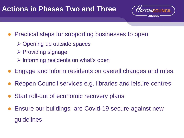#### **Actions in Phases Two and Three**



- Practical steps for supporting businesses to open
	- ➢ Opening up outside spaces
	- ➢ Providing signage
	- ➢ Informing residents on what's open
- Engage and inform residents on overall changes and rules
- Reopen Council services e.g. libraries and leisure centres
- Start roll-out of economic recovery plans
- Ensure our buildings are Covid-19 secure against new guidelines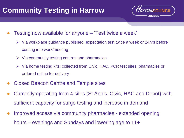#### **Community Testing in Harrow**



- Testing now available for anyone 'Test twice a week'
	- $\triangleright$  Via workplace guidance published, expectation test twice a week or 24hrs before coming into work/meeting
	- $\triangleright$  Via community testing centres and pharmacies
	- ➢ Via home testing kits: collected from Civic, HAC, PCR test sites, pharmacies or ordered online for delivery
- Closed Beacon Centre and Temple sites
- Currently operating from 4 sites (St Ann's, Civic, HAC and Depot) with sufficient capacity for surge testing and increase in demand
- Improved access via community pharmacies extended opening hours – evenings and Sundays and lowering age to 11+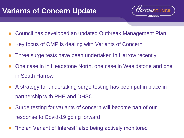#### **Variants of Concern Update**



- Council has developed an updated Outbreak Management Plan
- Key focus of OMP is dealing with Variants of Concern
- Three surge tests have been undertaken in Harrow recently
- One case in in Headstone North, one case in Wealdstone and one in South Harrow
- A strategy for undertaking surge testing has been put in place in partnership with PHE and DHSC
- Surge testing for variants of concern will become part of our response to Covid-19 going forward
- "Indian Variant of Interest" also being actively monitored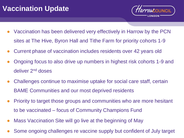

- Vaccination has been delivered very effectively in Harrow by the PCN sites at The Hive, Byron Hall and Tithe Farm for priority cohorts 1-9
- Current phase of vaccination includes residents over 42 years old
- Ongoing focus to also drive up numbers in highest risk cohorts 1-9 and deliver 2nd doses
- Challenges continue to maximise uptake for social care staff, certain BAME Communities and our most deprived residents
- Priority to target those groups and communities who are more hesitant to be vaccinated – focus of Community Champions Fund
- Mass Vaccination Site will go live at the beginning of May
- Some ongoing challenges re vaccine supply but confident of July target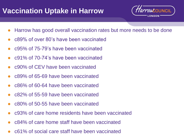#### **Vaccination Uptake in Harrow**



- Harrow has good overall vaccination rates but more needs to be done
- c89% of over 80's have been vaccinated
- c95% of 75-79's have been vaccinated
- c91% of 70-74's have been vaccinated
- c90% of CEV have been vaccinated
- c89% of 65-69 have been vaccinated
- c86% of 60-64 have been vaccinated
- c82% of 55-59 have been vaccinated
- c80% of 50-55 have been vaccinated
- c93% of care home residents have been vaccinated
- c84% of care home staff have been vaccinated
- c61% of social care staff have been vaccinated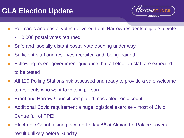#### **GLA Election Update**



- Poll cards and postal votes delivered to all Harrow residents eligible to vote
	- 10,000 postal votes returned
- Safe and socially distant postal vote opening under way
- Sufficient staff and reserves recruited and being trained
- Following recent government guidance that all election staff are expected to be tested
- All 120 Polling Stations risk assessed and ready to provide a safe welcome to residents who want to vote in person
- Brent and Harrow Council completed mock electronic count
- Additional Covid requirement a huge logistical exercise most of Civic Centre full of PPE!
- Electronic Count taking place on Friday 8<sup>th</sup> at Alexandra Palace overall result unlikely before Sunday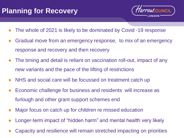## **Planning for Recovery**



- The whole of 2021 is likely to be dominated by Covid -19 response
- Gradual move from an emergency response, to mix of an emergency response and recovery and then recovery
- The timing and detail is reliant on vaccination roll-out, impact of any new variants and the pace of the lifting of restrictions
- NHS and social care will be focussed on treatment catch up
- Economic challenge for business and residents will increase as furlough and other grant support schemes end
- Major focus on catch up for children re missed education
- Longer-term impact of "hidden harm" and mental health very likely
- Capacity and resilience will remain stretched impacting on priorities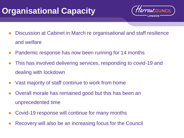## **Organisational Capacity**



- Discussion at Cabinet in March re organisational and staff resilience and welfare
- Pandemic response has now been running for 14 months
- This has involved delivering services, responding to covid-19 and dealing with lockdown
- Vast majority of staff continue to work from home
- Overall morale has remained good but this has been an unprecedented time
- Covid-19 response will continue for many months
- Recovery will also be an increasing focus for the Council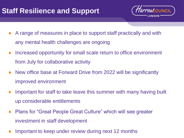## **Staff Resilience and Support**



- A range of measures in place to support staff practically and with any mental health challenges are ongoing
- Increased opportunity for small scale return to office environment from July for collaborative activity
- New office base at Forward Drive from 2022 will be significantly improved environment
- Important for staff to take leave this summer with many having built up considerable entitlements
- Plans for "Great People Great Culture" which will see greater investment in staff development
- Important to keep under review during next 12 months